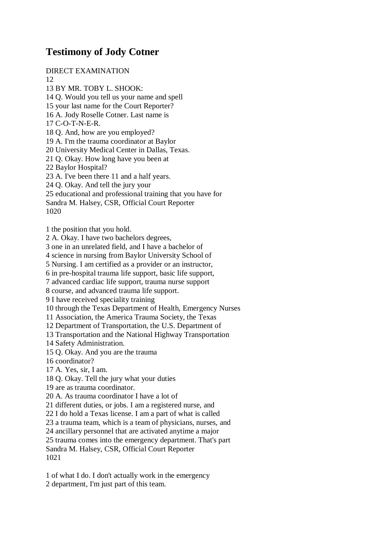## **Testimony of Jody Cotner**

DIRECT EXAMINATION

12

13 BY MR. TOBY L. SHOOK: 14 Q. Would you tell us your name and spell 15 your last name for the Court Reporter? 16 A. Jody Roselle Cotner. Last name is 17 C-O-T-N-E-R. 18 Q. And, how are you employed? 19 A. I'm the trauma coordinator at Baylor 20 University Medical Center in Dallas, Texas. 21 Q. Okay. How long have you been at 22 Baylor Hospital? 23 A. I've been there 11 and a half years. 24 Q. Okay. And tell the jury your 25 educational and professional training that you have for Sandra M. Halsey, CSR, Official Court Reporter 1020 1 the position that you hold. 2 A. Okay. I have two bachelors degrees, 3 one in an unrelated field, and I have a bachelor of 4 science in nursing from Baylor University School of 5 Nursing. I am certified as a provider or an instructor,

6 in pre-hospital trauma life support, basic life support,

7 advanced cardiac life support, trauma nurse support

8 course, and advanced trauma life support.

9 I have received speciality training

10 through the Texas Department of Health, Emergency Nurses

11 Association, the America Trauma Society, the Texas

12 Department of Transportation, the U.S. Department of

13 Transportation and the National Highway Transportation

14 Safety Administration.

15 Q. Okay. And you are the trauma

16 coordinator?

17 A. Yes, sir, I am.

18 Q. Okay. Tell the jury what your duties

19 are as trauma coordinator.

20 A. As trauma coordinator I have a lot of

21 different duties, or jobs. I am a registered nurse, and

22 I do hold a Texas license. I am a part of what is called

23 a trauma team, which is a team of physicians, nurses, and

24 ancillary personnel that are activated anytime a major

25 trauma comes into the emergency department. That's part

Sandra M. Halsey, CSR, Official Court Reporter 1021

1 of what I do. I don't actually work in the emergency 2 department, I'm just part of this team.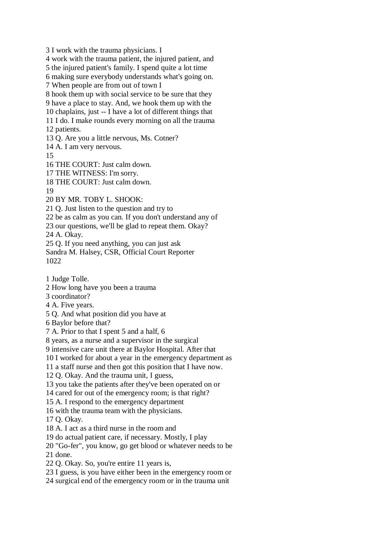3 I work with the trauma physicians. I 4 work with the trauma patient, the injured patient, and 5 the injured patient's family. I spend quite a lot time 6 making sure everybody understands what's going on. 7 When people are from out of town I 8 hook them up with social service to be sure that they 9 have a place to stay. And, we hook them up with the 10 chaplains, just -- I have a lot of different things that 11 I do. I make rounds every morning on all the trauma 12 patients. 13 Q. Are you a little nervous, Ms. Cotner? 14 A. I am very nervous. 15 16 THE COURT: Just calm down. 17 THE WITNESS: I'm sorry. 18 THE COURT: Just calm down. 19 20 BY MR. TOBY L. SHOOK: 21 Q. Just listen to the question and try to 22 be as calm as you can. If you don't understand any of 23 our questions, we'll be glad to repeat them. Okay? 24 A. Okay. 25 Q. If you need anything, you can just ask Sandra M. Halsey, CSR, Official Court Reporter 1022 1 Judge Tolle. 2 How long have you been a trauma 3 coordinator? 4 A. Five years. 5 Q. And what position did you have at 6 Baylor before that? 7 A. Prior to that I spent 5 and a half, 6 8 years, as a nurse and a supervisor in the surgical 9 intensive care unit there at Baylor Hospital. After that 10 I worked for about a year in the emergency department as 11 a staff nurse and then got this position that I have now. 12 Q. Okay. And the trauma unit, I guess, 13 you take the patients after they've been operated on or 14 cared for out of the emergency room; is that right? 15 A. I respond to the emergency department 16 with the trauma team with the physicians. 17 Q. Okay. 18 A. I act as a third nurse in the room and

19 do actual patient care, if necessary. Mostly, I play

20 "Go-fer", you know, go get blood or whatever needs to be

21 done.

22 Q. Okay. So, you're entire 11 years is,

23 I guess, is you have either been in the emergency room or

24 surgical end of the emergency room or in the trauma unit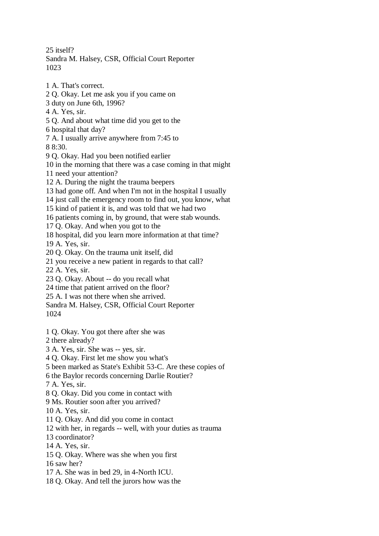25 itself?

Sandra M. Halsey, CSR, Official Court Reporter 1023

1 A. That's correct. 2 Q. Okay. Let me ask you if you came on 3 duty on June 6th, 1996? 4 A. Yes, sir. 5 Q. And about what time did you get to the 6 hospital that day? 7 A. I usually arrive anywhere from 7:45 to 8 8:30. 9 Q. Okay. Had you been notified earlier 10 in the morning that there was a case coming in that might 11 need your attention? 12 A. During the night the trauma beepers 13 had gone off. And when I'm not in the hospital I usually 14 just call the emergency room to find out, you know, what 15 kind of patient it is, and was told that we had two 16 patients coming in, by ground, that were stab wounds. 17 Q. Okay. And when you got to the 18 hospital, did you learn more information at that time? 19 A. Yes, sir. 20 Q. Okay. On the trauma unit itself, did 21 you receive a new patient in regards to that call? 22 A. Yes, sir. 23 Q. Okay. About -- do you recall what 24 time that patient arrived on the floor? 25 A. I was not there when she arrived. Sandra M. Halsey, CSR, Official Court Reporter 1024 1 Q. Okay. You got there after she was 2 there already? 3 A. Yes, sir. She was -- yes, sir. 4 Q. Okay. First let me show you what's 5 been marked as State's Exhibit 53-C. Are these copies of 6 the Baylor records concerning Darlie Routier? 7 A. Yes, sir. 8 Q. Okay. Did you come in contact with 9 Ms. Routier soon after you arrived? 10 A. Yes, sir. 11 Q. Okay. And did you come in contact 12 with her, in regards -- well, with your duties as trauma 13 coordinator? 14 A. Yes, sir. 15 Q. Okay. Where was she when you first 16 saw her? 17 A. She was in bed 29, in 4-North ICU. 18 Q. Okay. And tell the jurors how was the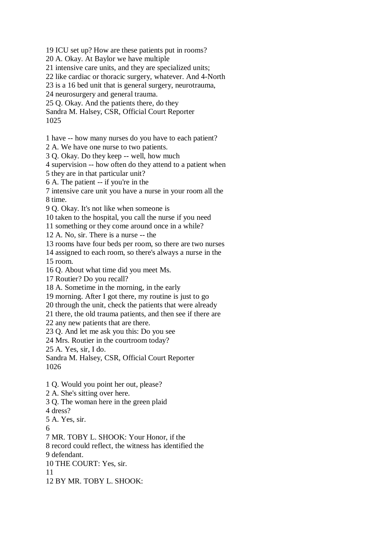19 ICU set up? How are these patients put in rooms?

20 A. Okay. At Baylor we have multiple

21 intensive care units, and they are specialized units;

22 like cardiac or thoracic surgery, whatever. And 4-North

23 is a 16 bed unit that is general surgery, neurotrauma,

24 neurosurgery and general trauma.

25 Q. Okay. And the patients there, do they

Sandra M. Halsey, CSR, Official Court Reporter 1025

1 have -- how many nurses do you have to each patient?

2 A. We have one nurse to two patients.

3 Q. Okay. Do they keep -- well, how much

4 supervision -- how often do they attend to a patient when

5 they are in that particular unit?

6 A. The patient -- if you're in the

7 intensive care unit you have a nurse in your room all the 8 time.

9 Q. Okay. It's not like when someone is

10 taken to the hospital, you call the nurse if you need

11 something or they come around once in a while?

12 A. No, sir. There is a nurse -- the

13 rooms have four beds per room, so there are two nurses

14 assigned to each room, so there's always a nurse in the

15 room.

16 Q. About what time did you meet Ms.

17 Routier? Do you recall?

18 A. Sometime in the morning, in the early

19 morning. After I got there, my routine is just to go

20 through the unit, check the patients that were already

21 there, the old trauma patients, and then see if there are

22 any new patients that are there.

23 Q. And let me ask you this: Do you see

24 Mrs. Routier in the courtroom today?

25 A. Yes, sir, I do.

Sandra M. Halsey, CSR, Official Court Reporter 1026

1 Q. Would you point her out, please?

2 A. She's sitting over here.

3 Q. The woman here in the green plaid

4 dress?

5 A. Yes, sir.

6

7 MR. TOBY L. SHOOK: Your Honor, if the

8 record could reflect, the witness has identified the

9 defendant.

10 THE COURT: Yes, sir.

11

12 BY MR. TOBY L. SHOOK: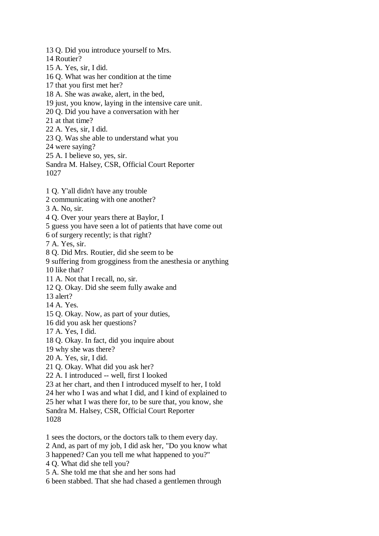13 Q. Did you introduce yourself to Mrs. 14 Routier? 15 A. Yes, sir, I did. 16 Q. What was her condition at the time 17 that you first met her? 18 A. She was awake, alert, in the bed, 19 just, you know, laying in the intensive care unit. 20 Q. Did you have a conversation with her 21 at that time? 22 A. Yes, sir, I did. 23 Q. Was she able to understand what you 24 were saying? 25 A. I believe so, yes, sir. Sandra M. Halsey, CSR, Official Court Reporter 1027 1 Q. Y'all didn't have any trouble 2 communicating with one another? 3 A. No, sir. 4 Q. Over your years there at Baylor, I 5 guess you have seen a lot of patients that have come out 6 of surgery recently; is that right? 7 A. Yes, sir. 8 Q. Did Mrs. Routier, did she seem to be 9 suffering from grogginess from the anesthesia or anything 10 like that? 11 A. Not that I recall, no, sir. 12 Q. Okay. Did she seem fully awake and 13 alert? 14 A. Yes. 15 Q. Okay. Now, as part of your duties, 16 did you ask her questions? 17 A. Yes, I did. 18 Q. Okay. In fact, did you inquire about 19 why she was there? 20 A. Yes, sir, I did. 21 Q. Okay. What did you ask her? 22 A. I introduced -- well, first I looked 23 at her chart, and then I introduced myself to her, I told 24 her who I was and what I did, and I kind of explained to 25 her what I was there for, to be sure that, you know, she Sandra M. Halsey, CSR, Official Court Reporter 1028 1 sees the doctors, or the doctors talk to them every day. 2 And, as part of my job, I did ask her, "Do you know what 3 happened? Can you tell me what happened to you?"

4 Q. What did she tell you?

5 A. She told me that she and her sons had

6 been stabbed. That she had chased a gentlemen through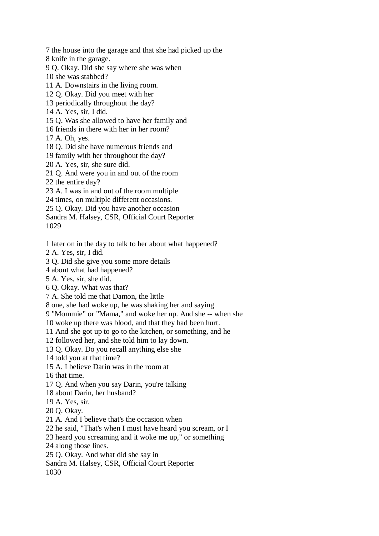7 the house into the garage and that she had picked up the

8 knife in the garage.

9 Q. Okay. Did she say where she was when

10 she was stabbed?

11 A. Downstairs in the living room.

12 Q. Okay. Did you meet with her

13 periodically throughout the day?

14 A. Yes, sir, I did.

15 Q. Was she allowed to have her family and

16 friends in there with her in her room?

17 A. Oh, yes.

18 Q. Did she have numerous friends and

19 family with her throughout the day?

20 A. Yes, sir, she sure did.

21 Q. And were you in and out of the room

22 the entire day?

23 A. I was in and out of the room multiple

24 times, on multiple different occasions.

25 Q. Okay. Did you have another occasion

Sandra M. Halsey, CSR, Official Court Reporter 1029

1 later on in the day to talk to her about what happened?

2 A. Yes, sir, I did.

3 Q. Did she give you some more details

4 about what had happened?

5 A. Yes, sir, she did.

6 Q. Okay. What was that?

7 A. She told me that Damon, the little

8 one, she had woke up, he was shaking her and saying

9 "Mommie" or "Mama," and woke her up. And she -- when she

10 woke up there was blood, and that they had been hurt.

11 And she got up to go to the kitchen, or something, and he

12 followed her, and she told him to lay down.

13 Q. Okay. Do you recall anything else she

14 told you at that time?

15 A. I believe Darin was in the room at

16 that time.

17 Q. And when you say Darin, you're talking

18 about Darin, her husband?

19 A. Yes, sir.

20 Q. Okay.

21 A. And I believe that's the occasion when

22 he said, "That's when I must have heard you scream, or I

23 heard you screaming and it woke me up," or something

24 along those lines.

25 Q. Okay. And what did she say in

Sandra M. Halsey, CSR, Official Court Reporter

1030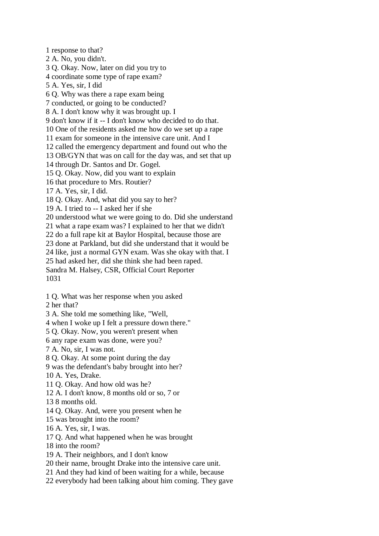1 response to that? 2 A. No, you didn't. 3 Q. Okay. Now, later on did you try to 4 coordinate some type of rape exam? 5 A. Yes, sir, I did 6 Q. Why was there a rape exam being 7 conducted, or going to be conducted? 8 A. I don't know why it was brought up. I 9 don't know if it -- I don't know who decided to do that. 10 One of the residents asked me how do we set up a rape 11 exam for someone in the intensive care unit. And I 12 called the emergency department and found out who the 13 OB/GYN that was on call for the day was, and set that up 14 through Dr. Santos and Dr. Gogel. 15 Q. Okay. Now, did you want to explain 16 that procedure to Mrs. Routier? 17 A. Yes, sir, I did. 18 Q. Okay. And, what did you say to her? 19 A. I tried to -- I asked her if she 20 understood what we were going to do. Did she understand 21 what a rape exam was? I explained to her that we didn't 22 do a full rape kit at Baylor Hospital, because those are 23 done at Parkland, but did she understand that it would be 24 like, just a normal GYN exam. Was she okay with that. I 25 had asked her, did she think she had been raped. Sandra M. Halsey, CSR, Official Court Reporter 1031 1 Q. What was her response when you asked 2 her that? 3 A. She told me something like, "Well, 4 when I woke up I felt a pressure down there." 5 Q. Okay. Now, you weren't present when 6 any rape exam was done, were you? 7 A. No, sir, I was not. 8 Q. Okay. At some point during the day 9 was the defendant's baby brought into her? 10 A. Yes, Drake. 11 Q. Okay. And how old was he? 12 A. I don't know, 8 months old or so, 7 or

13 8 months old.

14 Q. Okay. And, were you present when he

15 was brought into the room?

16 A. Yes, sir, I was.

17 Q. And what happened when he was brought

18 into the room?

19 A. Their neighbors, and I don't know

20 their name, brought Drake into the intensive care unit.

21 And they had kind of been waiting for a while, because

22 everybody had been talking about him coming. They gave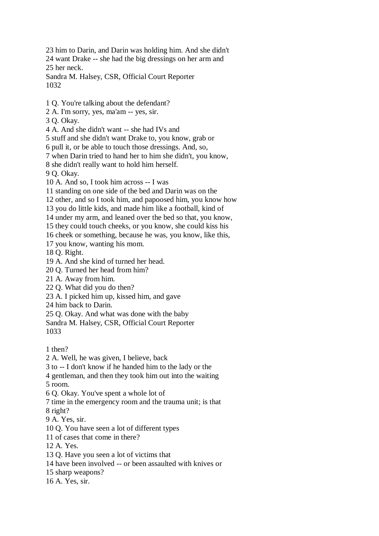23 him to Darin, and Darin was holding him. And she didn't 24 want Drake -- she had the big dressings on her arm and 25 her neck. Sandra M. Halsey, CSR, Official Court Reporter 1032

1 Q. You're talking about the defendant?

2 A. I'm sorry, yes, ma'am -- yes, sir.

3 Q. Okay.

4 A. And she didn't want -- she had IVs and

5 stuff and she didn't want Drake to, you know, grab or

6 pull it, or be able to touch those dressings. And, so,

7 when Darin tried to hand her to him she didn't, you know,

8 she didn't really want to hold him herself.

9 Q. Okay.

10 A. And so, I took him across -- I was

11 standing on one side of the bed and Darin was on the

12 other, and so I took him, and papoosed him, you know how

13 you do little kids, and made him like a football, kind of

14 under my arm, and leaned over the bed so that, you know,

15 they could touch cheeks, or you know, she could kiss his

16 cheek or something, because he was, you know, like this,

17 you know, wanting his mom.

18 Q. Right.

19 A. And she kind of turned her head.

20 Q. Turned her head from him?

21 A. Away from him.

22 Q. What did you do then?

23 A. I picked him up, kissed him, and gave

24 him back to Darin.

25 Q. Okay. And what was done with the baby

Sandra M. Halsey, CSR, Official Court Reporter 1033

1 then?

2 A. Well, he was given, I believe, back

3 to -- I don't know if he handed him to the lady or the

4 gentleman, and then they took him out into the waiting

5 room.

6 Q. Okay. You've spent a whole lot of

7 time in the emergency room and the trauma unit; is that

8 right?

9 A. Yes, sir.

10 Q. You have seen a lot of different types

11 of cases that come in there?

12 A. Yes.

13 Q. Have you seen a lot of victims that

14 have been involved -- or been assaulted with knives or

15 sharp weapons?

16 A. Yes, sir.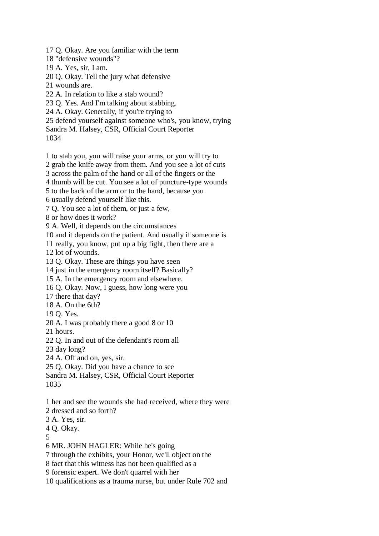17 Q. Okay. Are you familiar with the term

18 "defensive wounds"?

19 A. Yes, sir, I am.

- 20 Q. Okay. Tell the jury what defensive
- 21 wounds are.

22 A. In relation to like a stab wound?

23 Q. Yes. And I'm talking about stabbing.

24 A. Okay. Generally, if you're trying to

25 defend yourself against someone who's, you know, trying

Sandra M. Halsey, CSR, Official Court Reporter

1034

1 to stab you, you will raise your arms, or you will try to

2 grab the knife away from them. And you see a lot of cuts

3 across the palm of the hand or all of the fingers or the

4 thumb will be cut. You see a lot of puncture-type wounds

5 to the back of the arm or to the hand, because you

6 usually defend yourself like this.

7 Q. You see a lot of them, or just a few,

8 or how does it work?

9 A. Well, it depends on the circumstances

10 and it depends on the patient. And usually if someone is

11 really, you know, put up a big fight, then there are a

12 lot of wounds.

13 Q. Okay. These are things you have seen

14 just in the emergency room itself? Basically?

15 A. In the emergency room and elsewhere.

16 Q. Okay. Now, I guess, how long were you

17 there that day?

18 A. On the 6th?

19 Q. Yes.

20 A. I was probably there a good 8 or 10

21 hours.

22 Q. In and out of the defendant's room all

23 day long?

24 A. Off and on, yes, sir.

25 Q. Okay. Did you have a chance to see

Sandra M. Halsey, CSR, Official Court Reporter 1035

1 her and see the wounds she had received, where they were

2 dressed and so forth?

3 A. Yes, sir.

4 Q. Okay.

5

6 MR. JOHN HAGLER: While he's going

7 through the exhibits, your Honor, we'll object on the

8 fact that this witness has not been qualified as a

9 forensic expert. We don't quarrel with her

10 qualifications as a trauma nurse, but under Rule 702 and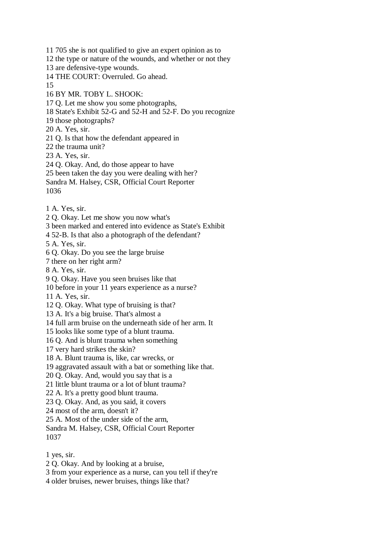11 705 she is not qualified to give an expert opinion as to 12 the type or nature of the wounds, and whether or not they 13 are defensive-type wounds. 14 THE COURT: Overruled. Go ahead. 15 16 BY MR. TOBY L. SHOOK: 17 Q. Let me show you some photographs, 18 State's Exhibit 52-G and 52-H and 52-F. Do you recognize 19 those photographs? 20 A. Yes, sir. 21 Q. Is that how the defendant appeared in 22 the trauma unit? 23 A. Yes, sir. 24 Q. Okay. And, do those appear to have 25 been taken the day you were dealing with her? Sandra M. Halsey, CSR, Official Court Reporter 1036 1 A. Yes, sir. 2 Q. Okay. Let me show you now what's 3 been marked and entered into evidence as State's Exhibit 4 52-B. Is that also a photograph of the defendant? 5 A. Yes, sir. 6 Q. Okay. Do you see the large bruise 7 there on her right arm? 8 A. Yes, sir. 9 Q. Okay. Have you seen bruises like that 10 before in your 11 years experience as a nurse? 11 A. Yes, sir. 12 Q. Okay. What type of bruising is that? 13 A. It's a big bruise. That's almost a 14 full arm bruise on the underneath side of her arm. It 15 looks like some type of a blunt trauma. 16 Q. And is blunt trauma when something 17 very hard strikes the skin? 18 A. Blunt trauma is, like, car wrecks, or 19 aggravated assault with a bat or something like that. 20 Q. Okay. And, would you say that is a 21 little blunt trauma or a lot of blunt trauma? 22 A. It's a pretty good blunt trauma. 23 Q. Okay. And, as you said, it covers 24 most of the arm, doesn't it? 25 A. Most of the under side of the arm, Sandra M. Halsey, CSR, Official Court Reporter 1037 1 yes, sir. 2 Q. Okay. And by looking at a bruise,

3 from your experience as a nurse, can you tell if they're

4 older bruises, newer bruises, things like that?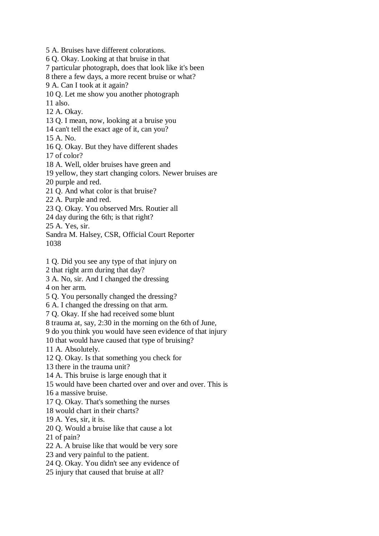5 A. Bruises have different colorations. 6 Q. Okay. Looking at that bruise in that 7 particular photograph, does that look like it's been 8 there a few days, a more recent bruise or what? 9 A. Can I took at it again? 10 Q. Let me show you another photograph 11 also. 12 A. Okay. 13 Q. I mean, now, looking at a bruise you 14 can't tell the exact age of it, can you? 15 A. No. 16 Q. Okay. But they have different shades 17 of color? 18 A. Well, older bruises have green and 19 yellow, they start changing colors. Newer bruises are 20 purple and red. 21 Q. And what color is that bruise? 22 A. Purple and red. 23 Q. Okay. You observed Mrs. Routier all 24 day during the 6th; is that right? 25 A. Yes, sir. Sandra M. Halsey, CSR, Official Court Reporter 1038 1 Q. Did you see any type of that injury on 2 that right arm during that day? 3 A. No, sir. And I changed the dressing 4 on her arm. 5 Q. You personally changed the dressing? 6 A. I changed the dressing on that arm. 7 Q. Okay. If she had received some blunt 8 trauma at, say, 2:30 in the morning on the 6th of June, 9 do you think you would have seen evidence of that injury 10 that would have caused that type of bruising? 11 A. Absolutely. 12 Q. Okay. Is that something you check for

13 there in the trauma unit?

14 A. This bruise is large enough that it

15 would have been charted over and over and over. This is

16 a massive bruise.

17 Q. Okay. That's something the nurses

18 would chart in their charts?

19 A. Yes, sir, it is.

20 Q. Would a bruise like that cause a lot

21 of pain?

22 A. A bruise like that would be very sore

23 and very painful to the patient.

24 Q. Okay. You didn't see any evidence of

25 injury that caused that bruise at all?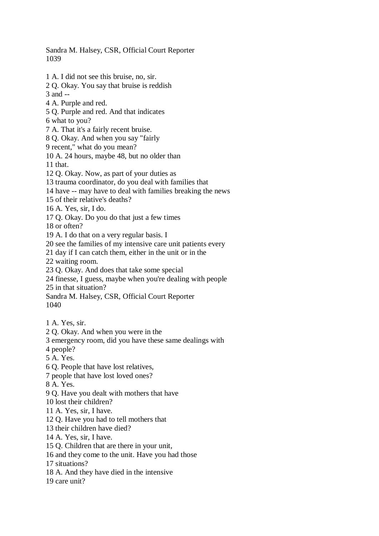Sandra M. Halsey, CSR, Official Court Reporter 1039

1 A. I did not see this bruise, no, sir. 2 Q. Okay. You say that bruise is reddish 3 and -- 4 A. Purple and red. 5 Q. Purple and red. And that indicates 6 what to you? 7 A. That it's a fairly recent bruise. 8 Q. Okay. And when you say "fairly 9 recent," what do you mean? 10 A. 24 hours, maybe 48, but no older than 11 that. 12 Q. Okay. Now, as part of your duties as 13 trauma coordinator, do you deal with families that 14 have -- may have to deal with families breaking the news 15 of their relative's deaths? 16 A. Yes, sir, I do. 17 Q. Okay. Do you do that just a few times 18 or often? 19 A. I do that on a very regular basis. I 20 see the families of my intensive care unit patients every 21 day if I can catch them, either in the unit or in the 22 waiting room. 23 Q. Okay. And does that take some special 24 finesse, I guess, maybe when you're dealing with people 25 in that situation? Sandra M. Halsey, CSR, Official Court Reporter 1040 1 A. Yes, sir. 2 Q. Okay. And when you were in the 3 emergency room, did you have these same dealings with 4 people? 5 A. Yes. 6 Q. People that have lost relatives, 7 people that have lost loved ones? 8 A. Yes. 9 Q. Have you dealt with mothers that have 10 lost their children? 11 A. Yes, sir, I have. 12 Q. Have you had to tell mothers that 13 their children have died? 14 A. Yes, sir, I have. 15 Q. Children that are there in your unit, 16 and they come to the unit. Have you had those 17 situations? 18 A. And they have died in the intensive 19 care unit?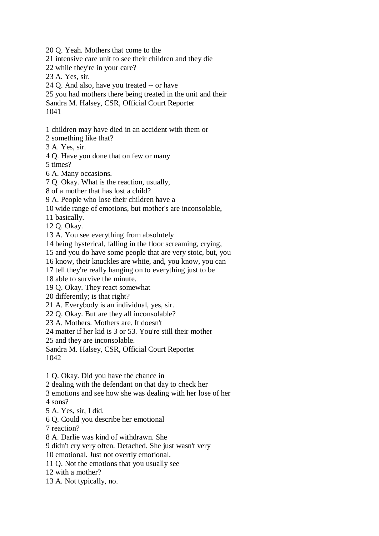20 Q. Yeah. Mothers that come to the

21 intensive care unit to see their children and they die

22 while they're in your care?

23 A. Yes, sir.

24 Q. And also, have you treated -- or have

25 you had mothers there being treated in the unit and their

Sandra M. Halsey, CSR, Official Court Reporter

1041

1 children may have died in an accident with them or

2 something like that?

3 A. Yes, sir.

4 Q. Have you done that on few or many

5 times?

6 A. Many occasions.

7 Q. Okay. What is the reaction, usually,

8 of a mother that has lost a child?

9 A. People who lose their children have a

10 wide range of emotions, but mother's are inconsolable,

11 basically.

12 Q. Okay.

13 A. You see everything from absolutely

14 being hysterical, falling in the floor screaming, crying,

15 and you do have some people that are very stoic, but, you

16 know, their knuckles are white, and, you know, you can

17 tell they're really hanging on to everything just to be

18 able to survive the minute.

19 Q. Okay. They react somewhat

20 differently; is that right?

21 A. Everybody is an individual, yes, sir.

22 Q. Okay. But are they all inconsolable?

23 A. Mothers. Mothers are. It doesn't

24 matter if her kid is 3 or 53. You're still their mother

25 and they are inconsolable.

Sandra M. Halsey, CSR, Official Court Reporter 1042

1 Q. Okay. Did you have the chance in

2 dealing with the defendant on that day to check her

3 emotions and see how she was dealing with her lose of her

4 sons?

5 A. Yes, sir, I did.

6 Q. Could you describe her emotional

7 reaction?

8 A. Darlie was kind of withdrawn. She

9 didn't cry very often. Detached. She just wasn't very

10 emotional. Just not overtly emotional.

11 Q. Not the emotions that you usually see

12 with a mother?

13 A. Not typically, no.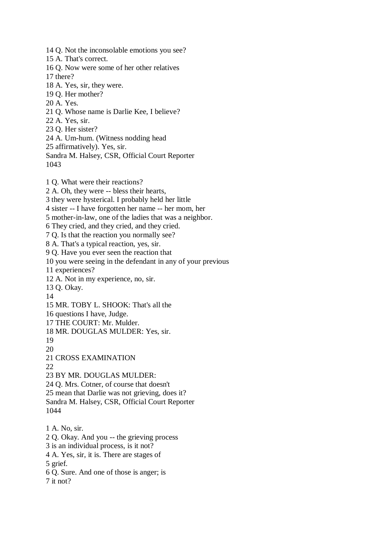14 Q. Not the inconsolable emotions you see?

15 A. That's correct.

16 Q. Now were some of her other relatives 17 there?

- 18 A. Yes, sir, they were.
- 19 Q. Her mother?
- 20 A. Yes.
- 21 Q. Whose name is Darlie Kee, I believe?
- 22 A. Yes, sir.
- 23 Q. Her sister?
- 24 A. Um-hum. (Witness nodding head
- 25 affirmatively). Yes, sir.
- Sandra M. Halsey, CSR, Official Court Reporter 1043

1 Q. What were their reactions?

2 A. Oh, they were -- bless their hearts,

3 they were hysterical. I probably held her little

4 sister -- I have forgotten her name -- her mom, her

5 mother-in-law, one of the ladies that was a neighbor.

6 They cried, and they cried, and they cried.

7 Q. Is that the reaction you normally see?

8 A. That's a typical reaction, yes, sir.

9 Q. Have you ever seen the reaction that

10 you were seeing in the defendant in any of your previous

- 11 experiences?
- 12 A. Not in my experience, no, sir.
- 13 Q. Okay.
- 14

15 MR. TOBY L. SHOOK: That's all the

16 questions I have, Judge.

17 THE COURT: Mr. Mulder.

18 MR. DOUGLAS MULDER: Yes, sir.

19

20

21 CROSS EXAMINATION

22

23 BY MR. DOUGLAS MULDER:

24 Q. Mrs. Cotner, of course that doesn't

25 mean that Darlie was not grieving, does it?

Sandra M. Halsey, CSR, Official Court Reporter 1044

1 A. No, sir.

2 Q. Okay. And you -- the grieving process

3 is an individual process, is it not?

4 A. Yes, sir, it is. There are stages of

5 grief.

6 Q. Sure. And one of those is anger; is

7 it not?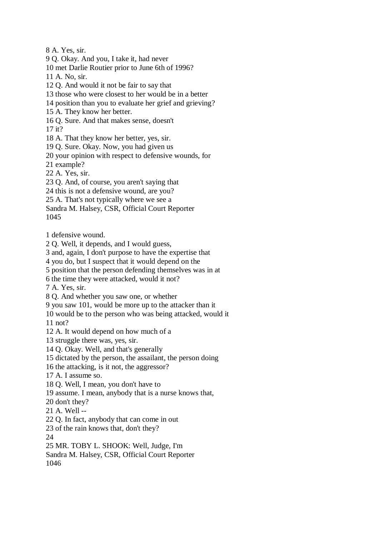8 A. Yes, sir.

9 Q. Okay. And you, I take it, had never

10 met Darlie Routier prior to June 6th of 1996?

11 A. No, sir.

12 Q. And would it not be fair to say that

13 those who were closest to her would be in a better

- 14 position than you to evaluate her grief and grieving?
- 15 A. They know her better.

16 Q. Sure. And that makes sense, doesn't

17 it?

18 A. That they know her better, yes, sir.

19 Q. Sure. Okay. Now, you had given us

20 your opinion with respect to defensive wounds, for

21 example?

22 A. Yes, sir.

23 Q. And, of course, you aren't saying that

24 this is not a defensive wound, are you?

25 A. That's not typically where we see a

Sandra M. Halsey, CSR, Official Court Reporter

1045

1 defensive wound.

2 Q. Well, it depends, and I would guess,

3 and, again, I don't purpose to have the expertise that

4 you do, but I suspect that it would depend on the

5 position that the person defending themselves was in at

6 the time they were attacked, would it not?

7 A. Yes, sir.

8 Q. And whether you saw one, or whether

9 you saw 101, would be more up to the attacker than it

10 would be to the person who was being attacked, would it 11 not?

12 A. It would depend on how much of a

13 struggle there was, yes, sir.

14 Q. Okay. Well, and that's generally

15 dictated by the person, the assailant, the person doing

16 the attacking, is it not, the aggressor?

17 A. I assume so.

18 Q. Well, I mean, you don't have to

19 assume. I mean, anybody that is a nurse knows that,

20 don't they?

21 A. Well --

22 Q. In fact, anybody that can come in out

23 of the rain knows that, don't they?

24

25 MR. TOBY L. SHOOK: Well, Judge, I'm

Sandra M. Halsey, CSR, Official Court Reporter 1046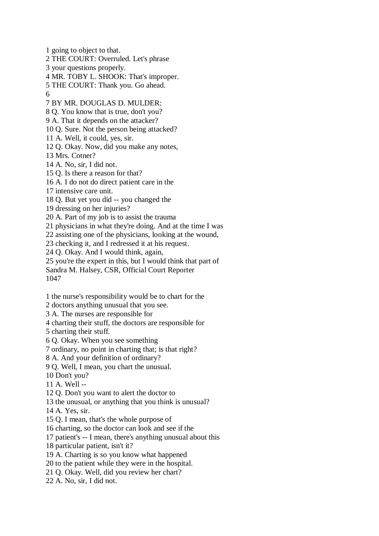1 going to object to that. 2 THE COURT: Overruled. Let's phrase 3 your questions properly. 4 MR. TOBY L. SHOOK: That's improper. 5 THE COURT: Thank you. Go ahead. 6 7 BY MR. DOUGLAS D. MULDER: 8 Q. You know that is true, don't you? 9 A. That it depends on the attacker? 10 Q. Sure. Not the person being attacked? 11 A. Well, it could, yes, sir. 12 Q. Okay. Now, did you make any notes, 13 Mrs. Cotner? 14 A. No, sir, I did not. 15 Q. Is there a reason for that? 16 A. I do not do direct patient care in the 17 intensive care unit. 18 Q. But yet you did -- you changed the 19 dressing on her injuries? 20 A. Part of my job is to assist the trauma 21 physicians in what they're doing. And at the time I was 22 assisting one of the physicians, looking at the wound, 23 checking it, and I redressed it at his request. 24 Q. Okay. And I would think, again, 25 you're the expert in this, but I would think that part of

Sandra M. Halsey, CSR, Official Court Reporter 1047

1 the nurse's responsibility would be to chart for the

2 doctors anything unusual that you see.

3 A. The nurses are responsible for

4 charting their stuff, the doctors are responsible for

5 charting their stuff.

6 Q. Okay. When you see something

7 ordinary, no point in charting that; is that right?

8 A. And your definition of ordinary?

9 Q. Well, I mean, you chart the unusual.

10 Don't you?

11 A. Well --

12 Q. Don't you want to alert the doctor to

13 the unusual, or anything that you think is unusual?

14 A. Yes, sir.

15 Q. I mean, that's the whole purpose of

16 charting, so the doctor can look and see if the

17 patient's -- I mean, there's anything unusual about this

18 particular patient, isn't it?

19 A. Charting is so you know what happened

20 to the patient while they were in the hospital.

21 Q. Okay. Well, did you review her chart?

22 A. No, sir, I did not.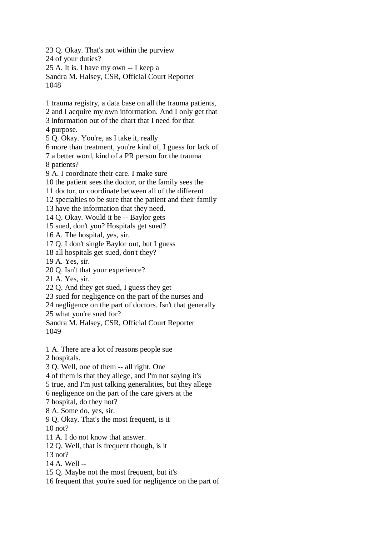23 Q. Okay. That's not within the purview 24 of your duties? 25 A. It is. I have my own -- I keep a Sandra M. Halsey, CSR, Official Court Reporter 1048 1 trauma registry, a data base on all the trauma patients, 2 and I acquire my own information. And I only get that 3 information out of the chart that I need for that 4 purpose. 5 Q. Okay. You're, as I take it, really 6 more than treatment, you're kind of, I guess for lack of 7 a better word, kind of a PR person for the trauma 8 patients? 9 A. I coordinate their care. I make sure 10 the patient sees the doctor, or the family sees the 11 doctor, or coordinate between all of the different 12 specialties to be sure that the patient and their family 13 have the information that they need. 14 Q. Okay. Would it be -- Baylor gets 15 sued, don't you? Hospitals get sued? 16 A. The hospital, yes, sir. 17 Q. I don't single Baylor out, but I guess 18 all hospitals get sued, don't they? 19 A. Yes, sir. 20 Q. Isn't that your experience? 21 A. Yes, sir. 22 Q. And they get sued, I guess they get 23 sued for negligence on the part of the nurses and 24 negligence on the part of doctors. Isn't that generally 25 what you're sued for? Sandra M. Halsey, CSR, Official Court Reporter 1049 1 A. There are a lot of reasons people sue 2 hospitals. 3 Q. Well, one of them -- all right. One 4 of them is that they allege, and I'm not saying it's 5 true, and I'm just talking generalities, but they allege 6 negligence on the part of the care givers at the 7 hospital, do they not? 8 A. Some do, yes, sir. 9 Q. Okay. That's the most frequent, is it 10 not? 11 A. I do not know that answer. 12 Q. Well, that is frequent though, is it 13 not? 14 A. Well -- 15 Q. Maybe not the most frequent, but it's 16 frequent that you're sued for negligence on the part of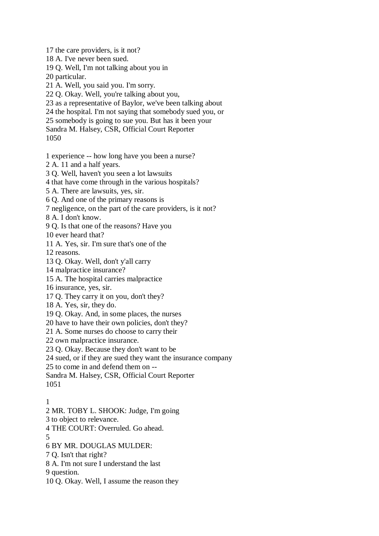17 the care providers, is it not?

18 A. I've never been sued.

19 Q. Well, I'm not talking about you in

20 particular.

21 A. Well, you said you. I'm sorry.

22 Q. Okay. Well, you're talking about you,

23 as a representative of Baylor, we've been talking about

24 the hospital. I'm not saying that somebody sued you, or

25 somebody is going to sue you. But has it been your

Sandra M. Halsey, CSR, Official Court Reporter

```
1050
```
1 experience -- how long have you been a nurse?

2 A. 11 and a half years.

3 Q. Well, haven't you seen a lot lawsuits

4 that have come through in the various hospitals?

5 A. There are lawsuits, yes, sir.

6 Q. And one of the primary reasons is

7 negligence, on the part of the care providers, is it not?

8 A. I don't know.

9 Q. Is that one of the reasons? Have you

10 ever heard that?

11 A. Yes, sir. I'm sure that's one of the

12 reasons.

13 Q. Okay. Well, don't y'all carry

14 malpractice insurance?

15 A. The hospital carries malpractice

16 insurance, yes, sir.

17 Q. They carry it on you, don't they?

18 A. Yes, sir, they do.

19 Q. Okay. And, in some places, the nurses

20 have to have their own policies, don't they?

21 A. Some nurses do choose to carry their

22 own malpractice insurance.

23 Q. Okay. Because they don't want to be

24 sued, or if they are sued they want the insurance company

25 to come in and defend them on --

Sandra M. Halsey, CSR, Official Court Reporter

1051

## 1

2 MR. TOBY L. SHOOK: Judge, I'm going

3 to object to relevance.

4 THE COURT: Overruled. Go ahead.

5

6 BY MR. DOUGLAS MULDER:

7 Q. Isn't that right?

8 A. I'm not sure I understand the last

9 question.

10 Q. Okay. Well, I assume the reason they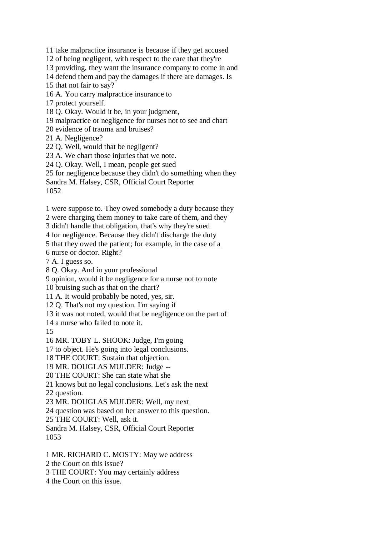11 take malpractice insurance is because if they get accused

12 of being negligent, with respect to the care that they're

13 providing, they want the insurance company to come in and

14 defend them and pay the damages if there are damages. Is

15 that not fair to say?

16 A. You carry malpractice insurance to

17 protect yourself.

18 Q. Okay. Would it be, in your judgment,

19 malpractice or negligence for nurses not to see and chart

20 evidence of trauma and bruises?

21 A. Negligence?

22 Q. Well, would that be negligent?

23 A. We chart those injuries that we note.

24 Q. Okay. Well, I mean, people get sued

25 for negligence because they didn't do something when they

Sandra M. Halsey, CSR, Official Court Reporter

1052

1 were suppose to. They owed somebody a duty because they

2 were charging them money to take care of them, and they

3 didn't handle that obligation, that's why they're sued

4 for negligence. Because they didn't discharge the duty

5 that they owed the patient; for example, in the case of a

6 nurse or doctor. Right?

7 A. I guess so.

8 Q. Okay. And in your professional

9 opinion, would it be negligence for a nurse not to note

10 bruising such as that on the chart?

11 A. It would probably be noted, yes, sir.

12 Q. That's not my question. I'm saying if

13 it was not noted, would that be negligence on the part of

14 a nurse who failed to note it.

15

16 MR. TOBY L. SHOOK: Judge, I'm going

17 to object. He's going into legal conclusions.

18 THE COURT: Sustain that objection.

19 MR. DOUGLAS MULDER: Judge --

20 THE COURT: She can state what she

21 knows but no legal conclusions. Let's ask the next

22 question.

23 MR. DOUGLAS MULDER: Well, my next

24 question was based on her answer to this question.

25 THE COURT: Well, ask it.

Sandra M. Halsey, CSR, Official Court Reporter 1053

1 MR. RICHARD C. MOSTY: May we address

2 the Court on this issue?

3 THE COURT: You may certainly address

4 the Court on this issue.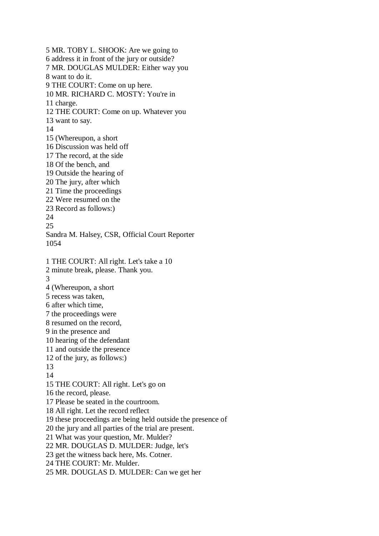5 MR. TOBY L. SHOOK: Are we going to 6 address it in front of the jury or outside? 7 MR. DOUGLAS MULDER: Either way you 8 want to do it. 9 THE COURT: Come on up here. 10 MR. RICHARD C. MOSTY: You're in 11 charge. 12 THE COURT: Come on up. Whatever you 13 want to say. 14 15 (Whereupon, a short 16 Discussion was held off 17 The record, at the side 18 Of the bench, and 19 Outside the hearing of 20 The jury, after which 21 Time the proceedings 22 Were resumed on the 23 Record as follows:) 24 25 Sandra M. Halsey, CSR, Official Court Reporter 1054 1 THE COURT: All right. Let's take a 10 2 minute break, please. Thank you. 3 4 (Whereupon, a short 5 recess was taken, 6 after which time, 7 the proceedings were 8 resumed on the record, 9 in the presence and 10 hearing of the defendant 11 and outside the presence 12 of the jury, as follows:) 13 14 15 THE COURT: All right. Let's go on 16 the record, please. 17 Please be seated in the courtroom. 18 All right. Let the record reflect 19 these proceedings are being held outside the presence of 20 the jury and all parties of the trial are present. 21 What was your question, Mr. Mulder? 22 MR. DOUGLAS D. MULDER: Judge, let's 23 get the witness back here, Ms. Cotner. 24 THE COURT: Mr. Mulder. 25 MR. DOUGLAS D. MULDER: Can we get her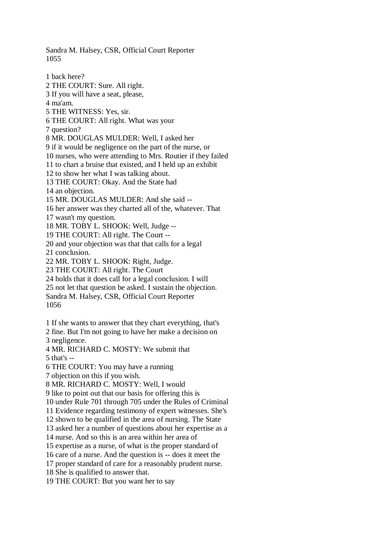Sandra M. Halsey, CSR, Official Court Reporter 1055

1 back here? 2 THE COURT: Sure. All right. 3 If you will have a seat, please, 4 ma'am. 5 THE WITNESS: Yes, sir. 6 THE COURT: All right. What was your 7 question? 8 MR. DOUGLAS MULDER: Well, I asked her 9 if it would be negligence on the part of the nurse, or 10 nurses, who were attending to Mrs. Routier if they failed 11 to chart a bruise that existed, and I held up an exhibit 12 to show her what I was talking about. 13 THE COURT: Okay. And the State had 14 an objection. 15 MR. DOUGLAS MULDER: And she said -- 16 her answer was they charted all of the, whatever. That 17 wasn't my question. 18 MR. TOBY L. SHOOK: Well, Judge -- 19 THE COURT: All right. The Court -- 20 and your objection was that that calls for a legal 21 conclusion. 22 MR. TOBY L. SHOOK: Right, Judge. 23 THE COURT: All right. The Court 24 holds that it does call for a legal conclusion. I will 25 not let that question be asked. I sustain the objection. Sandra M. Halsey, CSR, Official Court Reporter 1056 1 If she wants to answer that they chart everything, that's 2 fine. But I'm not going to have her make a decision on 3 negligence. 4 MR. RICHARD C. MOSTY: We submit that 5 that's -- 6 THE COURT: You may have a running 7 objection on this if you wish. 8 MR. RICHARD C. MOSTY: Well, I would 9 like to point out that our basis for offering this is 10 under Rule 701 through 705 under the Rules of Criminal 11 Evidence regarding testimony of expert witnesses. She's 12 shown to be qualified in the area of nursing. The State 13 asked her a number of questions about her expertise as a 14 nurse. And so this is an area within her area of 15 expertise as a nurse, of what is the proper standard of

16 care of a nurse. And the question is -- does it meet the

17 proper standard of care for a reasonably prudent nurse.

18 She is qualified to answer that.

19 THE COURT: But you want her to say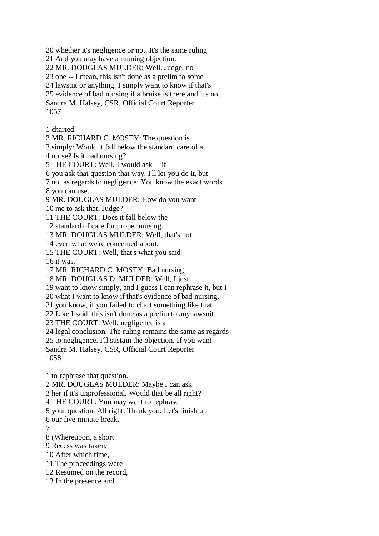20 whether it's negligence or not. It's the same ruling.

21 And you may have a running objection.

22 MR. DOUGLAS MULDER: Well, Judge, no

23 one -- I mean, this isn't done as a prelim to some

24 lawsuit or anything. I simply want to know if that's

25 evidence of bad nursing if a bruise is there and it's not

Sandra M. Halsey, CSR, Official Court Reporter 1057

1 charted.

2 MR. RICHARD C. MOSTY: The question is

3 simply: Would it fall below the standard care of a

4 nurse? Is it bad nursing?

5 THE COURT: Well, I would ask -- if

6 you ask that question that way, I'll let you do it, but

7 not as regards to negligence. You know the exact words 8 you can use.

9 MR. DOUGLAS MULDER: How do you want

10 me to ask that, Judge?

11 THE COURT: Does it fall below the

12 standard of care for proper nursing.

13 MR. DOUGLAS MULDER: Well, that's not

14 even what we're concerned about.

15 THE COURT: Well, that's what you said

16 it was.

17 MR. RICHARD C. MOSTY: Bad nursing.

18 MR. DOUGLAS D. MULDER: Well, I just

19 want to know simply, and I guess I can rephrase it, but I

20 what I want to know if that's evidence of bad nursing,

21 you know, if you failed to chart something like that.

22 Like I said, this isn't done as a prelim to any lawsuit.

23 THE COURT: Well, negligence is a

24 legal conclusion. The ruling remains the same as regards

25 to negligence. I'll sustain the objection. If you want

Sandra M. Halsey, CSR, Official Court Reporter 1058

1 to rephrase that question.

2 MR. DOUGLAS MULDER: Maybe I can ask

3 her if it's unprofessional. Would that be all right?

4 THE COURT: You may want to rephrase

5 your question. All right. Thank you. Let's finish up

6 our five minute break.

7

8 (Whereupon, a short

9 Recess was taken,

10 After which time,

11 The proceedings were

12 Resumed on the record,

13 In the presence and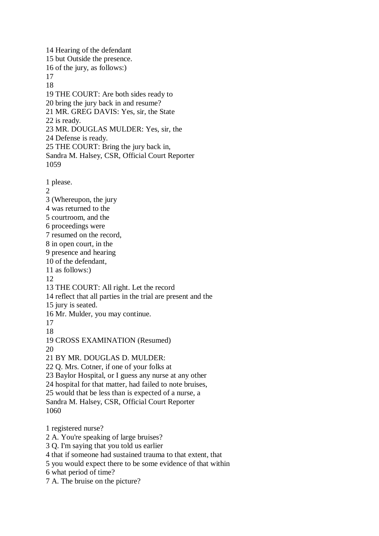14 Hearing of the defendant 15 but Outside the presence. 16 of the jury, as follows:) 17 18 19 THE COURT: Are both sides ready to 20 bring the jury back in and resume? 21 MR. GREG DAVIS: Yes, sir, the State 22 is ready. 23 MR. DOUGLAS MULDER: Yes, sir, the 24 Defense is ready. 25 THE COURT: Bring the jury back in, Sandra M. Halsey, CSR, Official Court Reporter 1059 1 please.  $\mathcal{D}_{\alpha}$ 3 (Whereupon, the jury 4 was returned to the 5 courtroom, and the 6 proceedings were 7 resumed on the record, 8 in open court, in the 9 presence and hearing 10 of the defendant, 11 as follows:) 12 13 THE COURT: All right. Let the record 14 reflect that all parties in the trial are present and the 15 jury is seated. 16 Mr. Mulder, you may continue. 17 18 19 CROSS EXAMINATION (Resumed)  $20$ 21 BY MR. DOUGLAS D. MULDER: 22 Q. Mrs. Cotner, if one of your folks at 23 Baylor Hospital, or I guess any nurse at any other 24 hospital for that matter, had failed to note bruises, 25 would that be less than is expected of a nurse, a Sandra M. Halsey, CSR, Official Court Reporter 1060 1 registered nurse? 2 A. You're speaking of large bruises? 3 Q. I'm saying that you told us earlier 4 that if someone had sustained trauma to that extent, that 5 you would expect there to be some evidence of that within 6 what period of time? 7 A. The bruise on the picture?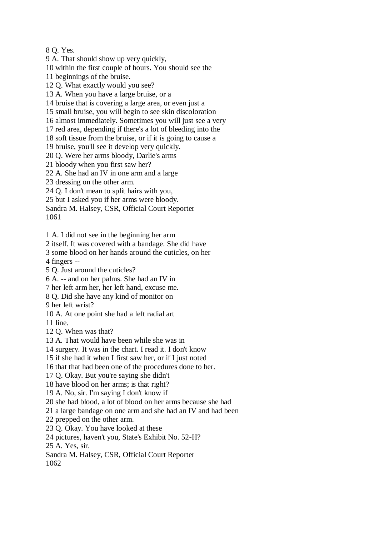8 Q. Yes.

9 A. That should show up very quickly,

10 within the first couple of hours. You should see the

11 beginnings of the bruise.

12 Q. What exactly would you see?

13 A. When you have a large bruise, or a

14 bruise that is covering a large area, or even just a

15 small bruise, you will begin to see skin discoloration

16 almost immediately. Sometimes you will just see a very

17 red area, depending if there's a lot of bleeding into the

18 soft tissue from the bruise, or if it is going to cause a

19 bruise, you'll see it develop very quickly.

20 Q. Were her arms bloody, Darlie's arms

21 bloody when you first saw her?

22 A. She had an IV in one arm and a large

23 dressing on the other arm.

24 Q. I don't mean to split hairs with you,

25 but I asked you if her arms were bloody.

Sandra M. Halsey, CSR, Official Court Reporter 1061

1 A. I did not see in the beginning her arm

2 itself. It was covered with a bandage. She did have

3 some blood on her hands around the cuticles, on her

4 fingers --

5 Q. Just around the cuticles?

6 A. -- and on her palms. She had an IV in

7 her left arm her, her left hand, excuse me.

8 Q. Did she have any kind of monitor on

9 her left wrist?

10 A. At one point she had a left radial art

11 line.

12 Q. When was that?

13 A. That would have been while she was in

14 surgery. It was in the chart. I read it. I don't know

15 if she had it when I first saw her, or if I just noted

16 that that had been one of the procedures done to her.

17 Q. Okay. But you're saying she didn't

18 have blood on her arms; is that right?

19 A. No, sir. I'm saying I don't know if

20 she had blood, a lot of blood on her arms because she had

21 a large bandage on one arm and she had an IV and had been

22 prepped on the other arm.

23 Q. Okay. You have looked at these

24 pictures, haven't you, State's Exhibit No. 52-H?

25 A. Yes, sir.

Sandra M. Halsey, CSR, Official Court Reporter

1062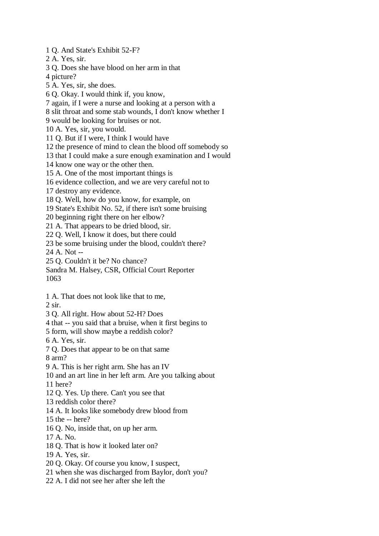1 Q. And State's Exhibit 52-F?

2 A. Yes, sir.

3 Q. Does she have blood on her arm in that

4 picture?

5 A. Yes, sir, she does.

6 Q. Okay. I would think if, you know,

7 again, if I were a nurse and looking at a person with a

8 slit throat and some stab wounds, I don't know whether I

9 would be looking for bruises or not.

10 A. Yes, sir, you would.

11 Q. But if I were, I think I would have

12 the presence of mind to clean the blood off somebody so

13 that I could make a sure enough examination and I would

14 know one way or the other then.

15 A. One of the most important things is

16 evidence collection, and we are very careful not to

17 destroy any evidence.

18 Q. Well, how do you know, for example, on

19 State's Exhibit No. 52, if there isn't some bruising

20 beginning right there on her elbow?

21 A. That appears to be dried blood, sir.

22 Q. Well, I know it does, but there could

23 be some bruising under the blood, couldn't there?

24 A. Not --

25 Q. Couldn't it be? No chance?

Sandra M. Halsey, CSR, Official Court Reporter 1063

1 A. That does not look like that to me,

 $2$  sir.

3 Q. All right. How about 52-H? Does

4 that -- you said that a bruise, when it first begins to

5 form, will show maybe a reddish color?

6 A. Yes, sir.

7 Q. Does that appear to be on that same

8 arm?

9 A. This is her right arm. She has an IV

10 and an art line in her left arm. Are you talking about

11 here?

12 Q. Yes. Up there. Can't you see that

13 reddish color there?

14 A. It looks like somebody drew blood from

15 the -- here?

16 Q. No, inside that, on up her arm.

17 A. No.

18 Q. That is how it looked later on?

19 A. Yes, sir.

20 Q. Okay. Of course you know, I suspect,

21 when she was discharged from Baylor, don't you?

22 A. I did not see her after she left the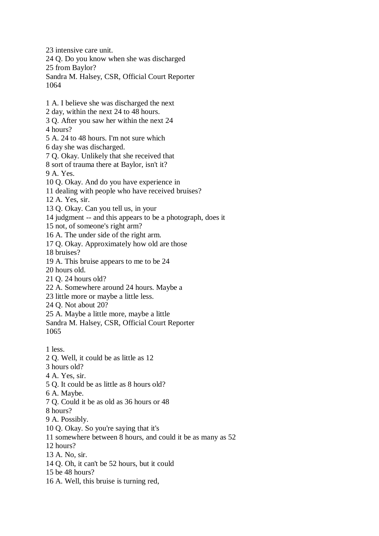23 intensive care unit. 24 Q. Do you know when she was discharged 25 from Baylor? Sandra M. Halsey, CSR, Official Court Reporter 1064 1 A. I believe she was discharged the next 2 day, within the next 24 to 48 hours. 3 Q. After you saw her within the next 24 4 hours? 5 A. 24 to 48 hours. I'm not sure which 6 day she was discharged. 7 Q. Okay. Unlikely that she received that 8 sort of trauma there at Baylor, isn't it? 9 A. Yes. 10 Q. Okay. And do you have experience in 11 dealing with people who have received bruises? 12 A. Yes, sir. 13 Q. Okay. Can you tell us, in your 14 judgment -- and this appears to be a photograph, does it 15 not, of someone's right arm? 16 A. The under side of the right arm. 17 Q. Okay. Approximately how old are those 18 bruises? 19 A. This bruise appears to me to be 24 20 hours old. 21 Q. 24 hours old? 22 A. Somewhere around 24 hours. Maybe a 23 little more or maybe a little less. 24 Q. Not about 20? 25 A. Maybe a little more, maybe a little Sandra M. Halsey, CSR, Official Court Reporter 1065 1 less. 2 Q. Well, it could be as little as 12 3 hours old? 4 A. Yes, sir. 5 Q. It could be as little as 8 hours old? 6 A. Maybe. 7 Q. Could it be as old as 36 hours or 48 8 hours? 9 A. Possibly. 10 Q. Okay. So you're saying that it's 11 somewhere between 8 hours, and could it be as many as 52 12 hours? 13 A. No, sir. 14 Q. Oh, it can't be 52 hours, but it could 15 be 48 hours? 16 A. Well, this bruise is turning red,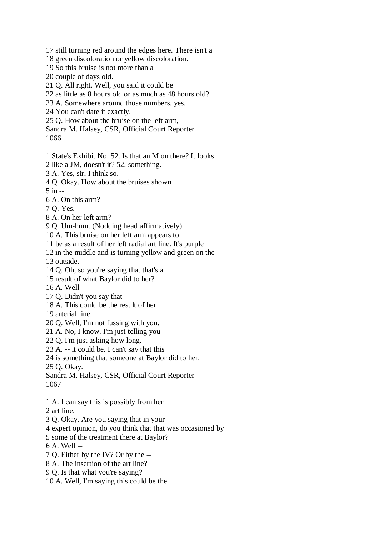- 17 still turning red around the edges here. There isn't a
- 18 green discoloration or yellow discoloration.
- 19 So this bruise is not more than a
- 20 couple of days old.
- 21 Q. All right. Well, you said it could be
- 22 as little as 8 hours old or as much as 48 hours old?
- 23 A. Somewhere around those numbers, yes.
- 24 You can't date it exactly.
- 25 Q. How about the bruise on the left arm,
- Sandra M. Halsey, CSR, Official Court Reporter 1066
- 
- 1 State's Exhibit No. 52. Is that an M on there? It looks
- 2 like a JM, doesn't it? 52, something.
- 3 A. Yes, sir, I think so.
- 4 Q. Okay. How about the bruises shown
- 5 in --
- 6 A. On this arm?
- 7 Q. Yes.
- 8 A. On her left arm?
- 9 Q. Um-hum. (Nodding head affirmatively).
- 10 A. This bruise on her left arm appears to
- 11 be as a result of her left radial art line. It's purple
- 12 in the middle and is turning yellow and green on the
- 13 outside.
- 14 Q. Oh, so you're saying that that's a
- 15 result of what Baylor did to her?
- 16 A. Well --
- 17 Q. Didn't you say that --
- 18 A. This could be the result of her
- 19 arterial line.
- 20 Q. Well, I'm not fussing with you.
- 21 A. No, I know. I'm just telling you --
- 22 Q. I'm just asking how long.
- 23 A. -- it could be. I can't say that this
- 24 is something that someone at Baylor did to her.
- 25 Q. Okay.
- Sandra M. Halsey, CSR, Official Court Reporter 1067
- 1 A. I can say this is possibly from her
- 2 art line.
- 3 Q. Okay. Are you saying that in your
- 4 expert opinion, do you think that that was occasioned by
- 5 some of the treatment there at Baylor?
- 6 A. Well --
- 7 Q. Either by the IV? Or by the --
- 8 A. The insertion of the art line?
- 9 Q. Is that what you're saying?
- 10 A. Well, I'm saying this could be the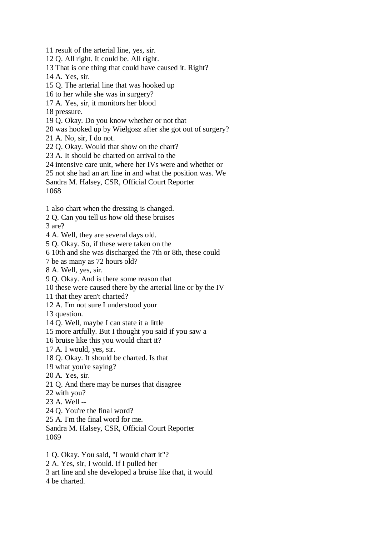11 result of the arterial line, yes, sir.

12 Q. All right. It could be. All right.

13 That is one thing that could have caused it. Right?

14 A. Yes, sir.

15 Q. The arterial line that was hooked up

16 to her while she was in surgery?

17 A. Yes, sir, it monitors her blood

18 pressure.

19 Q. Okay. Do you know whether or not that

20 was hooked up by Wielgosz after she got out of surgery?

21 A. No, sir, I do not.

22 Q. Okay. Would that show on the chart?

23 A. It should be charted on arrival to the

24 intensive care unit, where her IVs were and whether or

25 not she had an art line in and what the position was. We

Sandra M. Halsey, CSR, Official Court Reporter

1068

1 also chart when the dressing is changed.

2 Q. Can you tell us how old these bruises

3 are?

4 A. Well, they are several days old.

5 Q. Okay. So, if these were taken on the

6 10th and she was discharged the 7th or 8th, these could

7 be as many as 72 hours old?

8 A. Well, yes, sir.

9 Q. Okay. And is there some reason that

10 these were caused there by the arterial line or by the IV

11 that they aren't charted?

12 A. I'm not sure I understood your

13 question.

14 Q. Well, maybe I can state it a little

15 more artfully. But I thought you said if you saw a

16 bruise like this you would chart it?

17 A. I would, yes, sir.

18 Q. Okay. It should be charted. Is that

19 what you're saying?

20 A. Yes, sir.

21 Q. And there may be nurses that disagree

22 with you?

23 A. Well --

24 Q. You're the final word?

25 A. I'm the final word for me.

Sandra M. Halsey, CSR, Official Court Reporter 1069

1 Q. Okay. You said, "I would chart it"?

2 A. Yes, sir, I would. If I pulled her

3 art line and she developed a bruise like that, it would

4 be charted.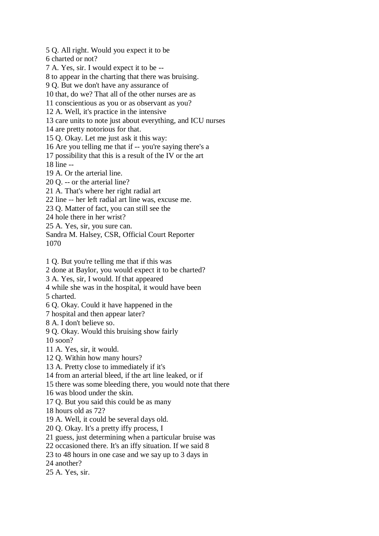5 Q. All right. Would you expect it to be 6 charted or not? 7 A. Yes, sir. I would expect it to be -- 8 to appear in the charting that there was bruising. 9 Q. But we don't have any assurance of 10 that, do we? That all of the other nurses are as 11 conscientious as you or as observant as you? 12 A. Well, it's practice in the intensive 13 care units to note just about everything, and ICU nurses 14 are pretty notorious for that. 15 Q. Okay. Let me just ask it this way: 16 Are you telling me that if -- you're saying there's a 17 possibility that this is a result of the IV or the art 18 line -- 19 A. Or the arterial line. 20 Q. -- or the arterial line? 21 A. That's where her right radial art 22 line -- her left radial art line was, excuse me. 23 Q. Matter of fact, you can still see the 24 hole there in her wrist? 25 A. Yes, sir, you sure can. Sandra M. Halsey, CSR, Official Court Reporter 1070

1 Q. But you're telling me that if this was

2 done at Baylor, you would expect it to be charted?

3 A. Yes, sir, I would. If that appeared

4 while she was in the hospital, it would have been

5 charted.

6 Q. Okay. Could it have happened in the

7 hospital and then appear later?

8 A. I don't believe so.

9 Q. Okay. Would this bruising show fairly

10 soon?

11 A. Yes, sir, it would.

12 Q. Within how many hours?

13 A. Pretty close to immediately if it's

14 from an arterial bleed, if the art line leaked, or if

15 there was some bleeding there, you would note that there

16 was blood under the skin.

17 Q. But you said this could be as many

18 hours old as 72?

19 A. Well, it could be several days old.

20 Q. Okay. It's a pretty iffy process, I

21 guess, just determining when a particular bruise was

22 occasioned there. It's an iffy situation. If we said 8

23 to 48 hours in one case and we say up to 3 days in

24 another?

25 A. Yes, sir.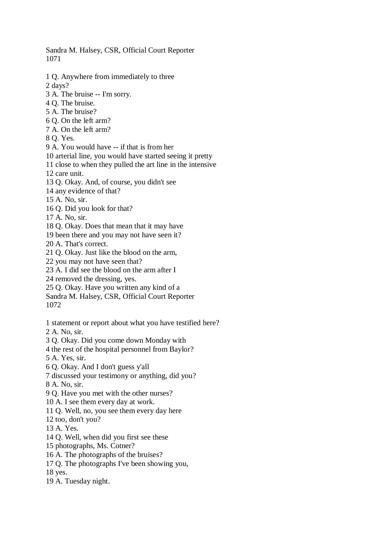Sandra M. Halsey, CSR, Official Court Reporter 1071

1 Q. Anywhere from immediately to three

2 days?

- 3 A. The bruise -- I'm sorry.
- 4 Q. The bruise.
- 5 A. The bruise?
- 6 Q. On the left arm?
- 7 A. On the left arm?
- 8 Q. Yes.
- 9 A. You would have -- if that is from her
- 10 arterial line, you would have started seeing it pretty
- 11 close to when they pulled the art line in the intensive
- 12 care unit.
- 13 Q. Okay. And, of course, you didn't see
- 14 any evidence of that?
- 15 A. No, sir.
- 16 Q. Did you look for that?
- 17 A. No, sir.
- 18 Q. Okay. Does that mean that it may have
- 19 been there and you may not have seen it?
- 20 A. That's correct.
- 21 Q. Okay. Just like the blood on the arm,
- 22 you may not have seen that?
- 23 A. I did see the blood on the arm after I
- 24 removed the dressing, yes.
- 25 Q. Okay. Have you written any kind of a
- Sandra M. Halsey, CSR, Official Court Reporter
- 1072
- 1 statement or report about what you have testified here?
- 2 A. No, sir.
- 3 Q. Okay. Did you come down Monday with
- 4 the rest of the hospital personnel from Baylor?
- 5 A. Yes, sir.
- 6 Q. Okay. And I don't guess y'all
- 7 discussed your testimony or anything, did you?
- 8 A. No, sir.
- 9 Q. Have you met with the other nurses?
- 10 A. I see them every day at work.
- 11 Q. Well, no, you see them every day here
- 12 too, don't you?
- 13 A. Yes.
- 14 Q. Well, when did you first see these
- 15 photographs, Ms. Cotner?
- 16 A. The photographs of the bruises?
- 17 Q. The photographs I've been showing you,

18 yes.

19 A. Tuesday night.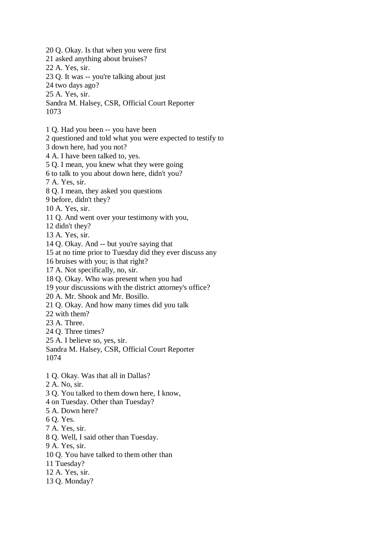20 Q. Okay. Is that when you were first 21 asked anything about bruises? 22 A. Yes, sir. 23 Q. It was -- you're talking about just 24 two days ago? 25 A. Yes, sir. Sandra M. Halsey, CSR, Official Court Reporter 1073 1 Q. Had you been -- you have been 2 questioned and told what you were expected to testify to 3 down here, had you not? 4 A. I have been talked to, yes. 5 Q. I mean, you knew what they were going 6 to talk to you about down here, didn't you? 7 A. Yes, sir. 8 Q. I mean, they asked you questions 9 before, didn't they? 10 A. Yes, sir. 11 Q. And went over your testimony with you, 12 didn't they? 13 A. Yes, sir. 14 Q. Okay. And -- but you're saying that 15 at no time prior to Tuesday did they ever discuss any 16 bruises with you; is that right? 17 A. Not specifically, no, sir. 18 Q. Okay. Who was present when you had 19 your discussions with the district attorney's office? 20 A. Mr. Shook and Mr. Bosillo. 21 Q. Okay. And how many times did you talk 22 with them? 23 A. Three. 24 Q. Three times? 25 A. I believe so, yes, sir. Sandra M. Halsey, CSR, Official Court Reporter 1074 1 Q. Okay. Was that all in Dallas? 2 A. No, sir. 3 Q. You talked to them down here, I know, 4 on Tuesday. Other than Tuesday? 5 A. Down here? 6 Q. Yes. 7 A. Yes, sir. 8 Q. Well, I said other than Tuesday. 9 A. Yes, sir. 10 Q. You have talked to them other than 11 Tuesday? 12 A. Yes, sir. 13 Q. Monday?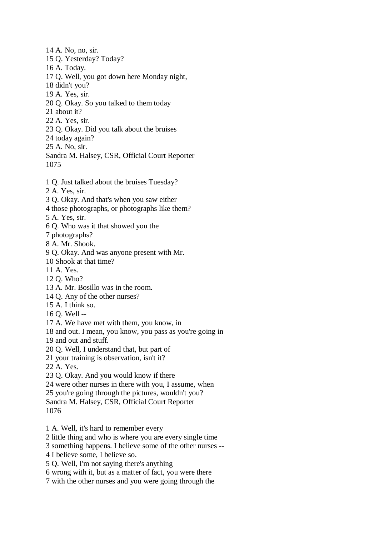- 14 A. No, no, sir. 15 Q. Yesterday? Today? 16 A. Today. 17 Q. Well, you got down here Monday night, 18 didn't you? 19 A. Yes, sir. 20 Q. Okay. So you talked to them today 21 about it? 22 A. Yes, sir. 23 Q. Okay. Did you talk about the bruises 24 today again? 25 A. No, sir. Sandra M. Halsey, CSR, Official Court Reporter 1075
- 1 Q. Just talked about the bruises Tuesday?
- 2 A. Yes, sir.
- 3 Q. Okay. And that's when you saw either
- 4 those photographs, or photographs like them?
- 5 A. Yes, sir.
- 6 Q. Who was it that showed you the
- 7 photographs?
- 8 A. Mr. Shook.

9 Q. Okay. And was anyone present with Mr.

- 10 Shook at that time?
- 11 A. Yes.
- 12 Q. Who?
- 13 A. Mr. Bosillo was in the room.
- 14 Q. Any of the other nurses?
- 15 A. I think so.
- 16 Q. Well --
- 17 A. We have met with them, you know, in
- 18 and out. I mean, you know, you pass as you're going in
- 19 and out and stuff.
- 20 Q. Well, I understand that, but part of
- 21 your training is observation, isn't it?
- 22 A. Yes.
- 23 Q. Okay. And you would know if there
- 24 were other nurses in there with you, I assume, when
- 25 you're going through the pictures, wouldn't you?
- Sandra M. Halsey, CSR, Official Court Reporter
- 1076
- 1 A. Well, it's hard to remember every
- 2 little thing and who is where you are every single time
- 3 something happens. I believe some of the other nurses --
- 4 I believe some, I believe so.
- 5 Q. Well, I'm not saying there's anything
- 6 wrong with it, but as a matter of fact, you were there
- 7 with the other nurses and you were going through the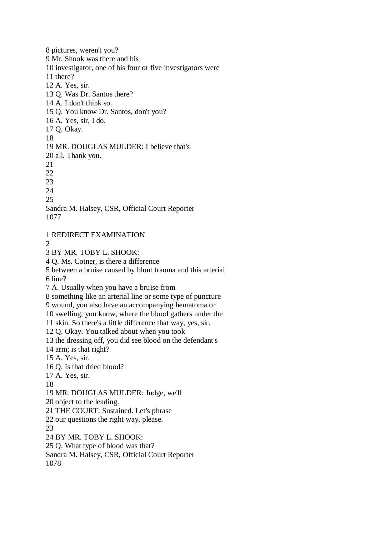8 pictures, weren't you? 9 Mr. Shook was there and his 10 investigator, one of his four or five investigators were 11 there? 12 A. Yes, sir. 13 Q. Was Dr. Santos there? 14 A. I don't think so. 15 Q. You know Dr. Santos, don't you? 16 A. Yes, sir, I do. 17 Q. Okay. 18 19 MR. DOUGLAS MULDER: I believe that's 20 all. Thank you. 21 22 23 24 25 Sandra M. Halsey, CSR, Official Court Reporter 1077

1 REDIRECT EXAMINATION

 $\mathcal{L}$ 

3 BY MR. TOBY L. SHOOK:

4 Q. Ms. Cotner, is there a difference

5 between a bruise caused by blunt trauma and this arterial

6 line?

7 A. Usually when you have a bruise from

8 something like an arterial line or some type of puncture

9 wound, you also have an accompanying hematoma or

10 swelling, you know, where the blood gathers under the

11 skin. So there's a little difference that way, yes, sir.

12 Q. Okay. You talked about when you took

13 the dressing off, you did see blood on the defendant's

14 arm; is that right?

15 A. Yes, sir.

16 Q. Is that dried blood?

17 A. Yes, sir.

18

19 MR. DOUGLAS MULDER: Judge, we'll

20 object to the leading.

21 THE COURT: Sustained. Let's phrase

22 our questions the right way, please.

23

24 BY MR. TOBY L. SHOOK:

25 Q. What type of blood was that?

Sandra M. Halsey, CSR, Official Court Reporter 1078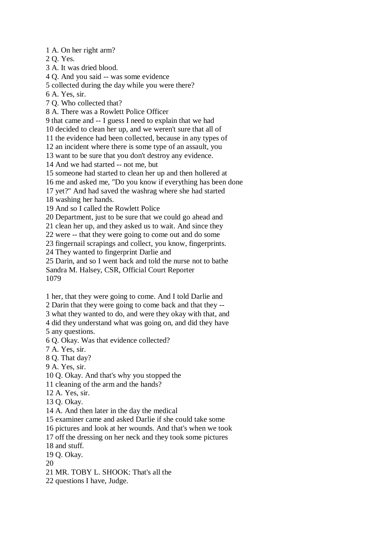1 A. On her right arm?

2 Q. Yes.

3 A. It was dried blood.

4 Q. And you said -- was some evidence

5 collected during the day while you were there?

6 A. Yes, sir.

7 Q. Who collected that?

8 A. There was a Rowlett Police Officer

9 that came and -- I guess I need to explain that we had

10 decided to clean her up, and we weren't sure that all of

11 the evidence had been collected, because in any types of

12 an incident where there is some type of an assault, you

13 want to be sure that you don't destroy any evidence.

14 And we had started -- not me, but

15 someone had started to clean her up and then hollered at

16 me and asked me, "Do you know if everything has been done

17 yet?" And had saved the washrag where she had started

18 washing her hands.

19 And so I called the Rowlett Police

20 Department, just to be sure that we could go ahead and

21 clean her up, and they asked us to wait. And since they

22 were -- that they were going to come out and do some

23 fingernail scrapings and collect, you know, fingerprints.

24 They wanted to fingerprint Darlie and

25 Darin, and so I went back and told the nurse not to bathe Sandra M. Halsey, CSR, Official Court Reporter 1079

1 her, that they were going to come. And I told Darlie and

2 Darin that they were going to come back and that they --

3 what they wanted to do, and were they okay with that, and

4 did they understand what was going on, and did they have

5 any questions.

6 Q. Okay. Was that evidence collected?

7 A. Yes, sir.

8 Q. That day?

9 A. Yes, sir.

10 Q. Okay. And that's why you stopped the

11 cleaning of the arm and the hands?

12 A. Yes, sir.

13 Q. Okay.

14 A. And then later in the day the medical

15 examiner came and asked Darlie if she could take some

16 pictures and look at her wounds. And that's when we took

17 off the dressing on her neck and they took some pictures

18 and stuff.

19 Q. Okay.

20

21 MR. TOBY L. SHOOK: That's all the

22 questions I have, Judge.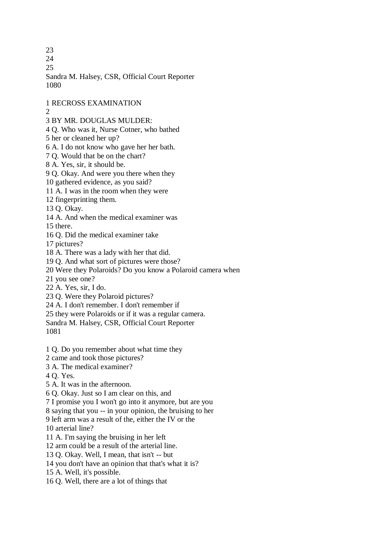23

24

25

Sandra M. Halsey, CSR, Official Court Reporter 1080

1 RECROSS EXAMINATION

2

- 3 BY MR. DOUGLAS MULDER:
- 4 Q. Who was it, Nurse Cotner, who bathed

5 her or cleaned her up?

6 A. I do not know who gave her her bath.

7 Q. Would that be on the chart?

8 A. Yes, sir, it should be.

9 Q. Okay. And were you there when they

10 gathered evidence, as you said?

11 A. I was in the room when they were

12 fingerprinting them.

13 Q. Okay.

14 A. And when the medical examiner was

15 there.

16 Q. Did the medical examiner take

17 pictures?

18 A. There was a lady with her that did.

19 Q. And what sort of pictures were those?

20 Were they Polaroids? Do you know a Polaroid camera when

21 you see one?

22 A. Yes, sir, I do.

23 Q. Were they Polaroid pictures?

24 A. I don't remember. I don't remember if

25 they were Polaroids or if it was a regular camera.

Sandra M. Halsey, CSR, Official Court Reporter

1081

1 Q. Do you remember about what time they

2 came and took those pictures?

3 A. The medical examiner?

4 Q. Yes.

5 A. It was in the afternoon.

6 Q. Okay. Just so I am clear on this, and

7 I promise you I won't go into it anymore, but are you

8 saying that you -- in your opinion, the bruising to her

9 left arm was a result of the, either the IV or the

10 arterial line?

11 A. I'm saying the bruising in her left

12 arm could be a result of the arterial line.

13 Q. Okay. Well, I mean, that isn't -- but

14 you don't have an opinion that that's what it is?

15 A. Well, it's possible.

16 Q. Well, there are a lot of things that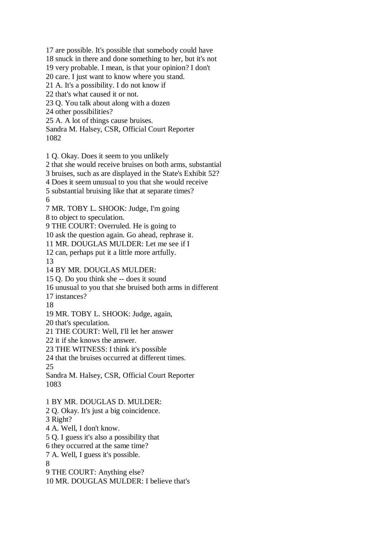17 are possible. It's possible that somebody could have 18 snuck in there and done something to her, but it's not 19 very probable. I mean, is that your opinion? I don't 20 care. I just want to know where you stand. 21 A. It's a possibility. I do not know if 22 that's what caused it or not. 23 Q. You talk about along with a dozen 24 other possibilities? 25 A. A lot of things cause bruises. Sandra M. Halsey, CSR, Official Court Reporter 1082 1 Q. Okay. Does it seem to you unlikely 2 that she would receive bruises on both arms, substantial 3 bruises, such as are displayed in the State's Exhibit 52? 4 Does it seem unusual to you that she would receive 5 substantial bruising like that at separate times? 6 7 MR. TOBY L. SHOOK: Judge, I'm going 8 to object to speculation. 9 THE COURT: Overruled. He is going to 10 ask the question again. Go ahead, rephrase it. 11 MR. DOUGLAS MULDER: Let me see if I 12 can, perhaps put it a little more artfully. 13 14 BY MR. DOUGLAS MULDER: 15 Q. Do you think she -- does it sound 16 unusual to you that she bruised both arms in different 17 instances? 18 19 MR. TOBY L. SHOOK: Judge, again, 20 that's speculation. 21 THE COURT: Well, I'll let her answer 22 it if she knows the answer. 23 THE WITNESS: I think it's possible 24 that the bruises occurred at different times. 25 Sandra M. Halsey, CSR, Official Court Reporter 1083 1 BY MR. DOUGLAS D. MULDER: 2 Q. Okay. It's just a big coincidence. 3 Right? 4 A. Well, I don't know. 5 Q. I guess it's also a possibility that 6 they occurred at the same time? 7 A. Well, I guess it's possible. 8 9 THE COURT: Anything else? 10 MR. DOUGLAS MULDER: I believe that's